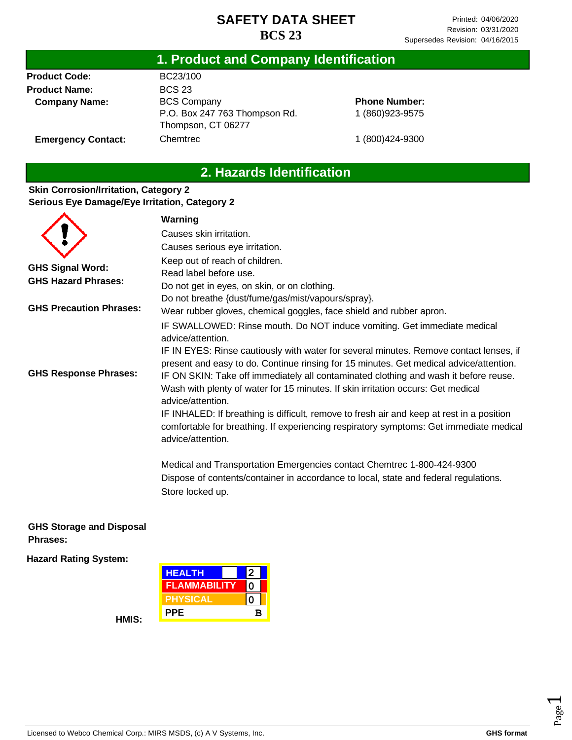### **1. Product and Company Identification**

**Product Code: Product Name: Company Name:**

**Emergency Contact:**

BC23/100 BCS 23 BCS Company P.O. Box 247 763 Thompson Rd. Thompson, CT 06277 **Chemtrec** 

**Phone Number:** 1 (860)923-9575

1 (800)424-9300

## **2. Hazards Identification**

### **Skin Corrosion/Irritation, Category 2 Serious Eye Damage/Eye Irritation, Category 2**

|                                | Warning                                                                                                                                                                                                  |
|--------------------------------|----------------------------------------------------------------------------------------------------------------------------------------------------------------------------------------------------------|
|                                | Causes skin irritation.                                                                                                                                                                                  |
|                                | Causes serious eye irritation.                                                                                                                                                                           |
| <b>GHS Signal Word:</b>        | Keep out of reach of children.<br>Read label before use.                                                                                                                                                 |
| <b>GHS Hazard Phrases:</b>     | Do not get in eyes, on skin, or on clothing.                                                                                                                                                             |
|                                | Do not breathe {dust/fume/gas/mist/vapours/spray}.                                                                                                                                                       |
| <b>GHS Precaution Phrases:</b> | Wear rubber gloves, chemical goggles, face shield and rubber apron.                                                                                                                                      |
|                                | IF SWALLOWED: Rinse mouth. Do NOT induce vomiting. Get immediate medical<br>advice/attention.                                                                                                            |
|                                | IF IN EYES: Rinse cautiously with water for several minutes. Remove contact lenses, if<br>present and easy to do. Continue rinsing for 15 minutes. Get medical advice/attention.                         |
| <b>GHS Response Phrases:</b>   | IF ON SKIN: Take off immediately all contaminated clothing and wash it before reuse.<br>Wash with plenty of water for 15 minutes. If skin irritation occurs: Get medical<br>advice/attention.            |
|                                | IF INHALED: If breathing is difficult, remove to fresh air and keep at rest in a position<br>comfortable for breathing. If experiencing respiratory symptoms: Get immediate medical<br>advice/attention. |
|                                | Medical and Transportation Emergencies contact Chemtrec 1-800-424-9300                                                                                                                                   |
|                                | Dispose of contents/container in accordance to local, state and federal regulations.<br>Store locked up.                                                                                                 |

### **GHS Storage and Disposal Phrases:**

**Hazard Rating System:**



Licensed to Webco Chemical Corp.: MIRS MSDS, (c) A V Systems, Inc. **GHS format GHS format** 

**HMIS:**

Page  $\overline{\phantom{0}}$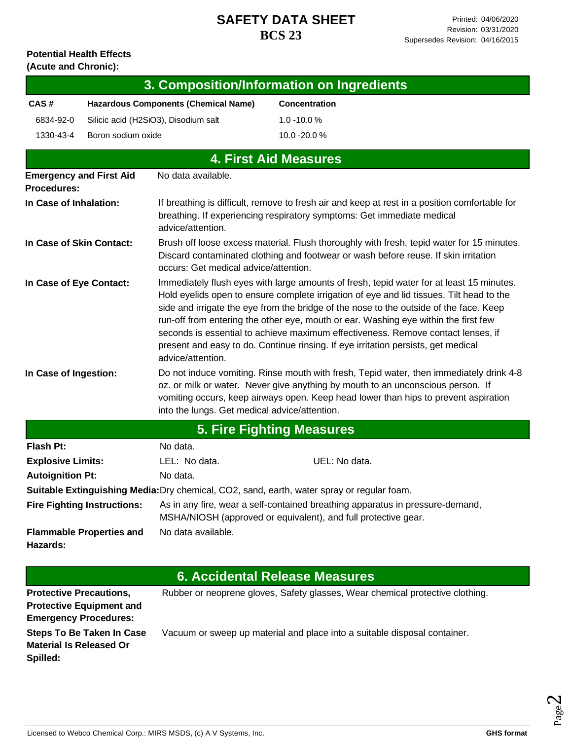#### **Potential Health Effects (Acute and Chronic):**

| (Acute and Chronic):                                              |                                             |                                                                                                                                                                                                                                                                                                                                                                                                                                                                                                                                                                     |                                                                                            |  |  |
|-------------------------------------------------------------------|---------------------------------------------|---------------------------------------------------------------------------------------------------------------------------------------------------------------------------------------------------------------------------------------------------------------------------------------------------------------------------------------------------------------------------------------------------------------------------------------------------------------------------------------------------------------------------------------------------------------------|--------------------------------------------------------------------------------------------|--|--|
|                                                                   |                                             |                                                                                                                                                                                                                                                                                                                                                                                                                                                                                                                                                                     | 3. Composition/Information on Ingredients                                                  |  |  |
| CAS#                                                              | <b>Hazardous Components (Chemical Name)</b> |                                                                                                                                                                                                                                                                                                                                                                                                                                                                                                                                                                     | <b>Concentration</b>                                                                       |  |  |
| 6834-92-0                                                         | Silicic acid (H2SiO3), Disodium salt        |                                                                                                                                                                                                                                                                                                                                                                                                                                                                                                                                                                     | $1.0 - 10.0 %$                                                                             |  |  |
| 1330-43-4                                                         | Boron sodium oxide                          |                                                                                                                                                                                                                                                                                                                                                                                                                                                                                                                                                                     | 10.0 -20.0 %                                                                               |  |  |
|                                                                   |                                             |                                                                                                                                                                                                                                                                                                                                                                                                                                                                                                                                                                     | <b>4. First Aid Measures</b>                                                               |  |  |
| <b>Emergency and First Aid</b><br><b>Procedures:</b>              |                                             | No data available.                                                                                                                                                                                                                                                                                                                                                                                                                                                                                                                                                  |                                                                                            |  |  |
| In Case of Inhalation:                                            |                                             | If breathing is difficult, remove to fresh air and keep at rest in a position comfortable for<br>breathing. If experiencing respiratory symptoms: Get immediate medical<br>advice/attention.                                                                                                                                                                                                                                                                                                                                                                        |                                                                                            |  |  |
| In Case of Skin Contact:                                          |                                             | Brush off loose excess material. Flush thoroughly with fresh, tepid water for 15 minutes.<br>Discard contaminated clothing and footwear or wash before reuse. If skin irritation<br>occurs: Get medical advice/attention.                                                                                                                                                                                                                                                                                                                                           |                                                                                            |  |  |
| In Case of Eye Contact:                                           |                                             | Immediately flush eyes with large amounts of fresh, tepid water for at least 15 minutes.<br>Hold eyelids open to ensure complete irrigation of eye and lid tissues. Tilt head to the<br>side and irrigate the eye from the bridge of the nose to the outside of the face. Keep<br>run-off from entering the other eye, mouth or ear. Washing eye within the first few<br>seconds is essential to achieve maximum effectiveness. Remove contact lenses, if<br>present and easy to do. Continue rinsing. If eye irritation persists, get medical<br>advice/attention. |                                                                                            |  |  |
| In Case of Ingestion:                                             |                                             | Do not induce vomiting. Rinse mouth with fresh, Tepid water, then immediately drink 4-8<br>oz. or milk or water. Never give anything by mouth to an unconscious person. If<br>vomiting occurs, keep airways open. Keep head lower than hips to prevent aspiration<br>into the lungs. Get medical advice/attention.                                                                                                                                                                                                                                                  |                                                                                            |  |  |
|                                                                   |                                             |                                                                                                                                                                                                                                                                                                                                                                                                                                                                                                                                                                     | <b>5. Fire Fighting Measures</b>                                                           |  |  |
| <b>Flash Pt:</b>                                                  |                                             | No data.                                                                                                                                                                                                                                                                                                                                                                                                                                                                                                                                                            |                                                                                            |  |  |
| <b>Explosive Limits:</b>                                          |                                             | LEL: No data.                                                                                                                                                                                                                                                                                                                                                                                                                                                                                                                                                       | UEL: No data.                                                                              |  |  |
| <b>Autoignition Pt:</b>                                           |                                             | No data.                                                                                                                                                                                                                                                                                                                                                                                                                                                                                                                                                            |                                                                                            |  |  |
|                                                                   |                                             |                                                                                                                                                                                                                                                                                                                                                                                                                                                                                                                                                                     | Suitable Extinguishing Media: Dry chemical, CO2, sand, earth, water spray or regular foam. |  |  |
|                                                                   | <b>Fire Fighting Instructions:</b>          | As in any fire, wear a self-contained breathing apparatus in pressure-demand,<br>MSHA/NIOSH (approved or equivalent), and full protective gear.                                                                                                                                                                                                                                                                                                                                                                                                                     |                                                                                            |  |  |
| No data available.<br><b>Flammable Properties and</b><br>Hazards: |                                             |                                                                                                                                                                                                                                                                                                                                                                                                                                                                                                                                                                     |                                                                                            |  |  |

# **6. Accidental Release Measures**

I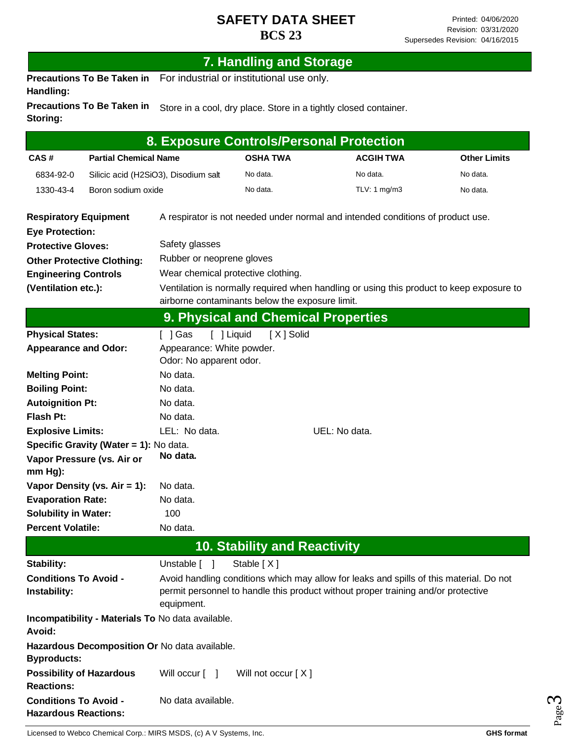|                                                             |                                        |                                                   | <b>7. Handling and Storage</b>                                                                                                              |                                                                                                                                                                              |                     |  |
|-------------------------------------------------------------|----------------------------------------|---------------------------------------------------|---------------------------------------------------------------------------------------------------------------------------------------------|------------------------------------------------------------------------------------------------------------------------------------------------------------------------------|---------------------|--|
| Handling:                                                   | <b>Precautions To Be Taken in</b>      |                                                   | For industrial or institutional use only.                                                                                                   |                                                                                                                                                                              |                     |  |
| Storing:                                                    | <b>Precautions To Be Taken in</b>      |                                                   |                                                                                                                                             | Store in a cool, dry place. Store in a tightly closed container.                                                                                                             |                     |  |
|                                                             |                                        |                                                   |                                                                                                                                             | 8. Exposure Controls/Personal Protection                                                                                                                                     |                     |  |
| CAS#                                                        | <b>Partial Chemical Name</b>           |                                                   | <b>OSHA TWA</b>                                                                                                                             | <b>ACGIH TWA</b>                                                                                                                                                             | <b>Other Limits</b> |  |
| 6834-92-0                                                   |                                        | Silicic acid (H2SiO3), Disodium salt              | No data.                                                                                                                                    | No data.                                                                                                                                                                     | No data.            |  |
| 1330-43-4                                                   | Boron sodium oxide                     |                                                   | No data.                                                                                                                                    | TLV: 1 mg/m3                                                                                                                                                                 | No data.            |  |
| <b>Respiratory Equipment</b><br><b>Eye Protection:</b>      |                                        |                                                   |                                                                                                                                             | A respirator is not needed under normal and intended conditions of product use.                                                                                              |                     |  |
| <b>Protective Gloves:</b>                                   |                                        | Safety glasses                                    |                                                                                                                                             |                                                                                                                                                                              |                     |  |
|                                                             | <b>Other Protective Clothing:</b>      | Rubber or neoprene gloves                         |                                                                                                                                             |                                                                                                                                                                              |                     |  |
| <b>Engineering Controls</b>                                 |                                        |                                                   | Wear chemical protective clothing.                                                                                                          |                                                                                                                                                                              |                     |  |
| (Ventilation etc.):                                         |                                        |                                                   | Ventilation is normally required when handling or using this product to keep exposure to<br>airborne contaminants below the exposure limit. |                                                                                                                                                                              |                     |  |
|                                                             |                                        |                                                   | 9. Physical and Chemical Properties                                                                                                         |                                                                                                                                                                              |                     |  |
| <b>Physical States:</b>                                     |                                        | $\lceil$   Gas                                    | [ ] Liquid<br>[X] Solid                                                                                                                     |                                                                                                                                                                              |                     |  |
| <b>Appearance and Odor:</b>                                 |                                        | Appearance: White powder.                         |                                                                                                                                             |                                                                                                                                                                              |                     |  |
|                                                             |                                        | Odor: No apparent odor.                           |                                                                                                                                             |                                                                                                                                                                              |                     |  |
| <b>Melting Point:</b>                                       |                                        | No data.                                          |                                                                                                                                             |                                                                                                                                                                              |                     |  |
| <b>Boiling Point:</b>                                       |                                        | No data.                                          |                                                                                                                                             |                                                                                                                                                                              |                     |  |
| <b>Autoignition Pt:</b>                                     |                                        | No data.                                          |                                                                                                                                             |                                                                                                                                                                              |                     |  |
| <b>Flash Pt:</b>                                            |                                        | No data.                                          |                                                                                                                                             |                                                                                                                                                                              |                     |  |
| <b>Explosive Limits:</b>                                    |                                        | LEL: No data.                                     |                                                                                                                                             | UEL: No data.                                                                                                                                                                |                     |  |
|                                                             | Specific Gravity (Water = 1): No data. |                                                   |                                                                                                                                             |                                                                                                                                                                              |                     |  |
| $mm Hg$ :                                                   | Vapor Pressure (vs. Air or             | No data.                                          |                                                                                                                                             |                                                                                                                                                                              |                     |  |
|                                                             | Vapor Density (vs. $Air = 1$ ):        | No data.                                          |                                                                                                                                             |                                                                                                                                                                              |                     |  |
| <b>Evaporation Rate:</b>                                    |                                        | No data.                                          |                                                                                                                                             |                                                                                                                                                                              |                     |  |
| <b>Solubility in Water:</b>                                 |                                        | 100                                               |                                                                                                                                             |                                                                                                                                                                              |                     |  |
| <b>Percent Volatile:</b>                                    |                                        | No data.                                          |                                                                                                                                             |                                                                                                                                                                              |                     |  |
|                                                             |                                        |                                                   | <b>10. Stability and Reactivity</b>                                                                                                         |                                                                                                                                                                              |                     |  |
| Stability:                                                  |                                        | Unstable [ ]                                      | Stable [X]                                                                                                                                  |                                                                                                                                                                              |                     |  |
| <b>Conditions To Avoid -</b><br>Instability:                |                                        | equipment.                                        |                                                                                                                                             | Avoid handling conditions which may allow for leaks and spills of this material. Do not<br>permit personnel to handle this product without proper training and/or protective |                     |  |
| Avoid:                                                      |                                        | Incompatibility - Materials To No data available. |                                                                                                                                             |                                                                                                                                                                              |                     |  |
| <b>Byproducts:</b>                                          |                                        | Hazardous Decomposition Or No data available.     |                                                                                                                                             |                                                                                                                                                                              |                     |  |
| <b>Reactions:</b>                                           | <b>Possibility of Hazardous</b>        | Will occur [ ]                                    | Will not occur [X]                                                                                                                          |                                                                                                                                                                              |                     |  |
| <b>Conditions To Avoid -</b><br><b>Hazardous Reactions:</b> |                                        | No data available.                                |                                                                                                                                             |                                                                                                                                                                              |                     |  |

Page ო